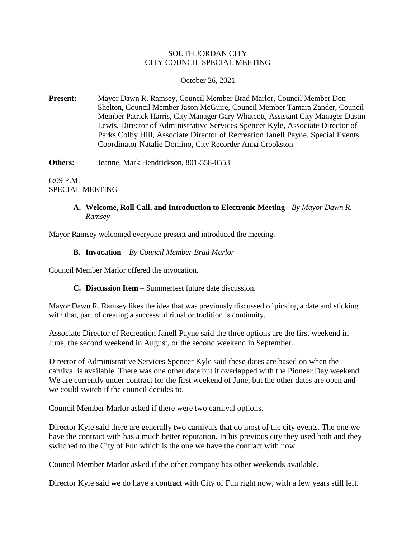# SOUTH JORDAN CITY CITY COUNCIL SPECIAL MEETING

# October 26, 2021

**Present:** Mayor Dawn R. Ramsey, Council Member Brad Marlor, Council Member Don Shelton, Council Member Jason McGuire, Council Member Tamara Zander, Council Member Patrick Harris, City Manager Gary Whatcott, Assistant City Manager Dustin Lewis, Director of Administrative Services Spencer Kyle, Associate Director of Parks Colby Hill, Associate Director of Recreation Janell Payne, Special Events Coordinator Natalie Domino, City Recorder Anna Crookston

**Others:** Jeanne, Mark Hendrickson, 801-558-0553

6:09 P.M. SPECIAL MEETING

> **A. Welcome, Roll Call, and Introduction to Electronic Meeting -** *By Mayor Dawn R. Ramsey*

Mayor Ramsey welcomed everyone present and introduced the meeting.

# **B. Invocation –** *By Council Member Brad Marlor*

Council Member Marlor offered the invocation.

# **C. Discussion Item –** Summerfest future date discussion.

Mayor Dawn R. Ramsey likes the idea that was previously discussed of picking a date and sticking with that, part of creating a successful ritual or tradition is continuity.

Associate Director of Recreation Janell Payne said the three options are the first weekend in June, the second weekend in August, or the second weekend in September.

Director of Administrative Services Spencer Kyle said these dates are based on when the carnival is available. There was one other date but it overlapped with the Pioneer Day weekend. We are currently under contract for the first weekend of June, but the other dates are open and we could switch if the council decides to.

Council Member Marlor asked if there were two carnival options.

Director Kyle said there are generally two carnivals that do most of the city events. The one we have the contract with has a much better reputation. In his previous city they used both and they switched to the City of Fun which is the one we have the contract with now.

Council Member Marlor asked if the other company has other weekends available.

Director Kyle said we do have a contract with City of Fun right now, with a few years still left.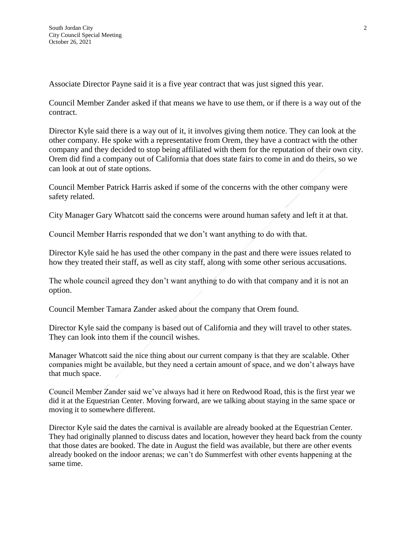Associate Director Payne said it is a five year contract that was just signed this year.

Council Member Zander asked if that means we have to use them, or if there is a way out of the contract.

Director Kyle said there is a way out of it, it involves giving them notice. They can look at the other company. He spoke with a representative from Orem, they have a contract with the other company and they decided to stop being affiliated with them for the reputation of their own city. Orem did find a company out of California that does state fairs to come in and do theirs, so we can look at out of state options.

Council Member Patrick Harris asked if some of the concerns with the other company were safety related.

City Manager Gary Whatcott said the concerns were around human safety and left it at that.

Council Member Harris responded that we don't want anything to do with that.

Director Kyle said he has used the other company in the past and there were issues related to how they treated their staff, as well as city staff, along with some other serious accusations.

The whole council agreed they don't want anything to do with that company and it is not an option.

Council Member Tamara Zander asked about the company that Orem found.

Director Kyle said the company is based out of California and they will travel to other states. They can look into them if the council wishes.

Manager Whatcott said the nice thing about our current company is that they are scalable. Other companies might be available, but they need a certain amount of space, and we don't always have that much space.

Council Member Zander said we've always had it here on Redwood Road, this is the first year we did it at the Equestrian Center. Moving forward, are we talking about staying in the same space or moving it to somewhere different.

Director Kyle said the dates the carnival is available are already booked at the Equestrian Center. They had originally planned to discuss dates and location, however they heard back from the county that those dates are booked. The date in August the field was available, but there are other events already booked on the indoor arenas; we can't do Summerfest with other events happening at the same time.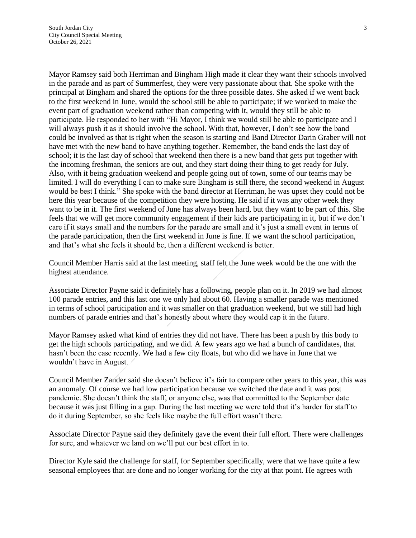Mayor Ramsey said both Herriman and Bingham High made it clear they want their schools involved in the parade and as part of Summerfest, they were very passionate about that. She spoke with the principal at Bingham and shared the options for the three possible dates. She asked if we went back to the first weekend in June, would the school still be able to participate; if we worked to make the event part of graduation weekend rather than competing with it, would they still be able to participate. He responded to her with "Hi Mayor, I think we would still be able to participate and I will always push it as it should involve the school. With that, however, I don't see how the band could be involved as that is right when the season is starting and Band Director Darin Graber will not have met with the new band to have anything together. Remember, the band ends the last day of school; it is the last day of school that weekend then there is a new band that gets put together with the incoming freshman, the seniors are out, and they start doing their thing to get ready for July. Also, with it being graduation weekend and people going out of town, some of our teams may be limited. I will do everything I can to make sure Bingham is still there, the second weekend in August would be best I think." She spoke with the band director at Herriman, he was upset they could not be here this year because of the competition they were hosting. He said if it was any other week they want to be in it. The first weekend of June has always been hard, but they want to be part of this. She feels that we will get more community engagement if their kids are participating in it, but if we don't care if it stays small and the numbers for the parade are small and it's just a small event in terms of the parade participation, then the first weekend in June is fine. If we want the school participation, and that's what she feels it should be, then a different weekend is better.

Council Member Harris said at the last meeting, staff felt the June week would be the one with the highest attendance.

Associate Director Payne said it definitely has a following, people plan on it. In 2019 we had almost 100 parade entries, and this last one we only had about 60. Having a smaller parade was mentioned in terms of school participation and it was smaller on that graduation weekend, but we still had high numbers of parade entries and that's honestly about where they would cap it in the future.

Mayor Ramsey asked what kind of entries they did not have. There has been a push by this body to get the high schools participating, and we did. A few years ago we had a bunch of candidates, that hasn't been the case recently. We had a few city floats, but who did we have in June that we wouldn't have in August.

Council Member Zander said she doesn't believe it's fair to compare other years to this year, this was an anomaly. Of course we had low participation because we switched the date and it was post pandemic. She doesn't think the staff, or anyone else, was that committed to the September date because it was just filling in a gap. During the last meeting we were told that it's harder for staff to do it during September, so she feels like maybe the full effort wasn't there.

Associate Director Payne said they definitely gave the event their full effort. There were challenges for sure, and whatever we land on we'll put our best effort in to.

Director Kyle said the challenge for staff, for September specifically, were that we have quite a few seasonal employees that are done and no longer working for the city at that point. He agrees with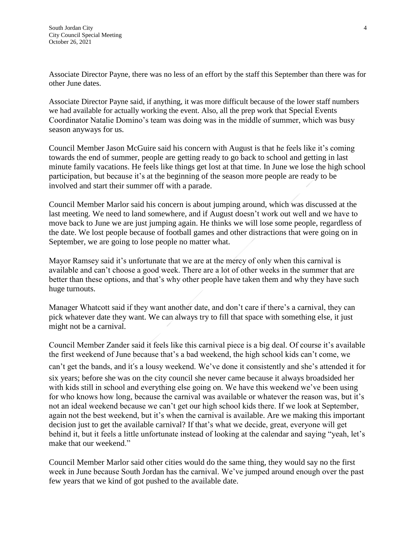Associate Director Payne, there was no less of an effort by the staff this September than there was for other June dates.

Associate Director Payne said, if anything, it was more difficult because of the lower staff numbers we had available for actually working the event. Also, all the prep work that Special Events Coordinator Natalie Domino's team was doing was in the middle of summer, which was busy season anyways for us.

Council Member Jason McGuire said his concern with August is that he feels like it's coming towards the end of summer, people are getting ready to go back to school and getting in last minute family vacations. He feels like things get lost at that time. In June we lose the high school participation, but because it's at the beginning of the season more people are ready to be involved and start their summer off with a parade.

Council Member Marlor said his concern is about jumping around, which was discussed at the last meeting. We need to land somewhere, and if August doesn't work out well and we have to move back to June we are just jumping again. He thinks we will lose some people, regardless of the date. We lost people because of football games and other distractions that were going on in September, we are going to lose people no matter what.

Mayor Ramsey said it's unfortunate that we are at the mercy of only when this carnival is available and can't choose a good week. There are a lot of other weeks in the summer that are better than these options, and that's why other people have taken them and why they have such huge turnouts.

Manager Whatcott said if they want another date, and don't care if there's a carnival, they can pick whatever date they want. We can always try to fill that space with something else, it just might not be a carnival.

Council Member Zander said it feels like this carnival piece is a big deal. Of course it's available the first weekend of June because that's a bad weekend, the high school kids can't come, we can't get the bands, and it's a lousy weekend. We've done it consistently and she's attended it for six years; before she was on the city council she never came because it always broadsided her with kids still in school and everything else going on. We have this weekend we've been using for who knows how long, because the carnival was available or whatever the reason was, but it's not an ideal weekend because we can't get our high school kids there. If we look at September, again not the best weekend, but it's when the carnival is available. Are we making this important decision just to get the available carnival? If that's what we decide, great, everyone will get behind it, but it feels a little unfortunate instead of looking at the calendar and saying "yeah, let's make that our weekend."

Council Member Marlor said other cities would do the same thing, they would say no the first week in June because South Jordan has the carnival. We've jumped around enough over the past few years that we kind of got pushed to the available date.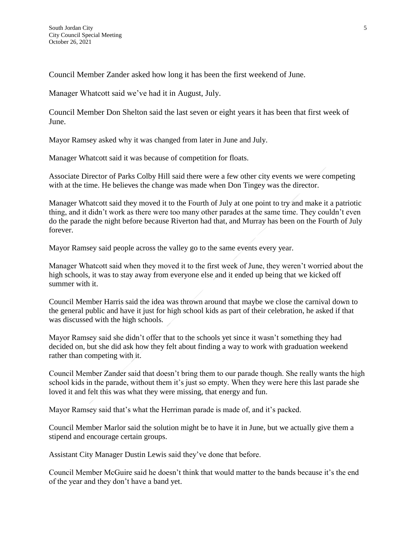Council Member Zander asked how long it has been the first weekend of June.

Manager Whatcott said we've had it in August, July.

Council Member Don Shelton said the last seven or eight years it has been that first week of June.

Mayor Ramsey asked why it was changed from later in June and July.

Manager Whatcott said it was because of competition for floats.

Associate Director of Parks Colby Hill said there were a few other city events we were competing with at the time. He believes the change was made when Don Tingey was the director.

Manager Whatcott said they moved it to the Fourth of July at one point to try and make it a patriotic thing, and it didn't work as there were too many other parades at the same time. They couldn't even do the parade the night before because Riverton had that, and Murray has been on the Fourth of July forever.

Mayor Ramsey said people across the valley go to the same events every year.

Manager Whatcott said when they moved it to the first week of June, they weren't worried about the high schools, it was to stay away from everyone else and it ended up being that we kicked off summer with it.

Council Member Harris said the idea was thrown around that maybe we close the carnival down to the general public and have it just for high school kids as part of their celebration, he asked if that was discussed with the high schools.

Mayor Ramsey said she didn't offer that to the schools yet since it wasn't something they had decided on, but she did ask how they felt about finding a way to work with graduation weekend rather than competing with it.

Council Member Zander said that doesn't bring them to our parade though. She really wants the high school kids in the parade, without them it's just so empty. When they were here this last parade she loved it and felt this was what they were missing, that energy and fun.

Mayor Ramsey said that's what the Herriman parade is made of, and it's packed.

Council Member Marlor said the solution might be to have it in June, but we actually give them a stipend and encourage certain groups.

Assistant City Manager Dustin Lewis said they've done that before.

Council Member McGuire said he doesn't think that would matter to the bands because it's the end of the year and they don't have a band yet.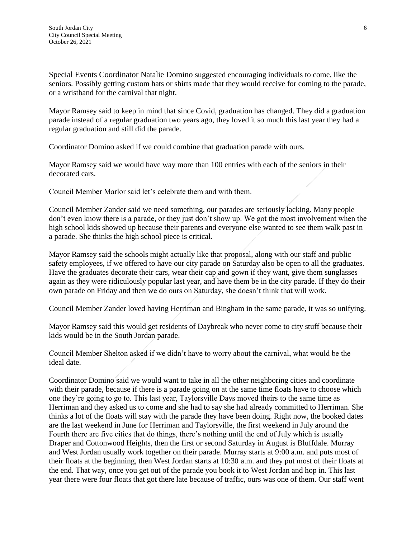Special Events Coordinator Natalie Domino suggested encouraging individuals to come, like the seniors. Possibly getting custom hats or shirts made that they would receive for coming to the parade, or a wristband for the carnival that night.

Mayor Ramsey said to keep in mind that since Covid, graduation has changed. They did a graduation parade instead of a regular graduation two years ago, they loved it so much this last year they had a regular graduation and still did the parade.

Coordinator Domino asked if we could combine that graduation parade with ours.

Mayor Ramsey said we would have way more than 100 entries with each of the seniors in their decorated cars.

Council Member Marlor said let's celebrate them and with them.

Council Member Zander said we need something, our parades are seriously lacking. Many people don't even know there is a parade, or they just don't show up. We got the most involvement when the high school kids showed up because their parents and everyone else wanted to see them walk past in a parade. She thinks the high school piece is critical.

Mayor Ramsey said the schools might actually like that proposal, along with our staff and public safety employees, if we offered to have our city parade on Saturday also be open to all the graduates. Have the graduates decorate their cars, wear their cap and gown if they want, give them sunglasses again as they were ridiculously popular last year, and have them be in the city parade. If they do their own parade on Friday and then we do ours on Saturday, she doesn't think that will work.

Council Member Zander loved having Herriman and Bingham in the same parade, it was so unifying.

Mayor Ramsey said this would get residents of Daybreak who never come to city stuff because their kids would be in the South Jordan parade.

Council Member Shelton asked if we didn't have to worry about the carnival, what would be the ideal date.

Coordinator Domino said we would want to take in all the other neighboring cities and coordinate with their parade, because if there is a parade going on at the same time floats have to choose which one they're going to go to. This last year, Taylorsville Days moved theirs to the same time as Herriman and they asked us to come and she had to say she had already committed to Herriman. She thinks a lot of the floats will stay with the parade they have been doing. Right now, the booked dates are the last weekend in June for Herriman and Taylorsville, the first weekend in July around the Fourth there are five cities that do things, there's nothing until the end of July which is usually Draper and Cottonwood Heights, then the first or second Saturday in August is Bluffdale. Murray and West Jordan usually work together on their parade. Murray starts at 9:00 a.m. and puts most of their floats at the beginning, then West Jordan starts at 10:30 a.m. and they put most of their floats at the end. That way, once you get out of the parade you book it to West Jordan and hop in. This last year there were four floats that got there late because of traffic, ours was one of them. Our staff went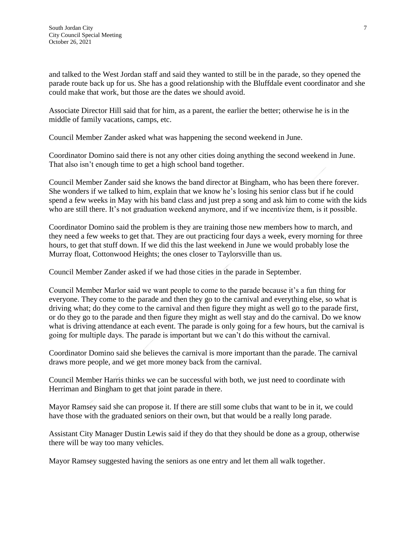and talked to the West Jordan staff and said they wanted to still be in the parade, so they opened the parade route back up for us. She has a good relationship with the Bluffdale event coordinator and she could make that work, but those are the dates we should avoid.

Associate Director Hill said that for him, as a parent, the earlier the better; otherwise he is in the middle of family vacations, camps, etc.

Council Member Zander asked what was happening the second weekend in June.

Coordinator Domino said there is not any other cities doing anything the second weekend in June. That also isn't enough time to get a high school band together.

Council Member Zander said she knows the band director at Bingham, who has been there forever. She wonders if we talked to him, explain that we know he's losing his senior class but if he could spend a few weeks in May with his band class and just prep a song and ask him to come with the kids who are still there. It's not graduation weekend anymore, and if we incentivize them, is it possible.

Coordinator Domino said the problem is they are training those new members how to march, and they need a few weeks to get that. They are out practicing four days a week, every morning for three hours, to get that stuff down. If we did this the last weekend in June we would probably lose the Murray float, Cottonwood Heights; the ones closer to Taylorsville than us.

Council Member Zander asked if we had those cities in the parade in September.

Council Member Marlor said we want people to come to the parade because it's a fun thing for everyone. They come to the parade and then they go to the carnival and everything else, so what is driving what; do they come to the carnival and then figure they might as well go to the parade first, or do they go to the parade and then figure they might as well stay and do the carnival. Do we know what is driving attendance at each event. The parade is only going for a few hours, but the carnival is going for multiple days. The parade is important but we can't do this without the carnival.

Coordinator Domino said she believes the carnival is more important than the parade. The carnival draws more people, and we get more money back from the carnival.

Council Member Harris thinks we can be successful with both, we just need to coordinate with Herriman and Bingham to get that joint parade in there.

Mayor Ramsey said she can propose it. If there are still some clubs that want to be in it, we could have those with the graduated seniors on their own, but that would be a really long parade.

Assistant City Manager Dustin Lewis said if they do that they should be done as a group, otherwise there will be way too many vehicles.

Mayor Ramsey suggested having the seniors as one entry and let them all walk together.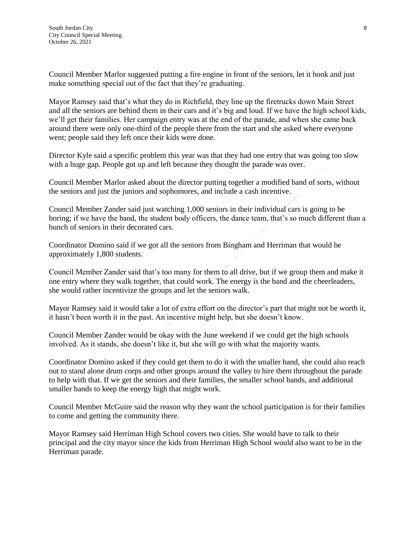Council Member Marlor suggested putting a fire engine in front of the seniors, let it honk and just make something special out of the fact that they're graduating.

Mayor Ramsey said that's what they do in Richfield, they line up the firetrucks down Main Street and all the seniors are behind them in their cars and it's big and loud. If we have the high school kids, we'll get their families. Her campaign entry was at the end of the parade, and when she came back around there were only one-third of the people there from the start and she asked where everyone went; people said they left once their kids were done.

Director Kyle said a specific problem this year was that they had one entry that was going too slow with a huge gap. People got up and left because they thought the parade was over.

Council Member Marlor asked about the director putting together a modified band of sorts, without the seniors and just the juniors and sophomores, and include a cash incentive.

Council Member Zander said just watching 1,000 seniors in their individual cars is going to be boring; if we have the band, the student body officers, the dance team, that's so much different than a bunch of seniors in their decorated cars.

Coordinator Domino said if we got all the seniors from Bingham and Herriman that would be approximately 1,800 students.

Council Member Zander said that's too many for them to all drive, but if we group them and make it one entry where they walk together, that could work. The energy is the band and the cheerleaders, she would rather incentivize the groups and let the seniors walk.

Mayor Ramsey said it would take a lot of extra effort on the director's part that might not be worth it, it hasn't been worth it in the past. An incentive might help, but she doesn't know.

Council Member Zander would be okay with the June weekend if we could get the high schools involved. As it stands, she doesn't like it, but she will go with what the majority wants.

Coordinator Domino asked if they could get them to do it with the smaller band, she could also reach out to stand alone drum corps and other groups around the valley to hire them throughout the parade to help with that. If we get the seniors and their families, the smaller school bands, and additional smaller bands to keep the energy high that might work.

Council Member McGuire said the reason why they want the school participation is for their families to come and getting the community there.

Mayor Ramsey said Herriman High School covers two cities. She would have to talk to their principal and the city mayor since the kids from Herriman High School would also want to be in the Herriman parade.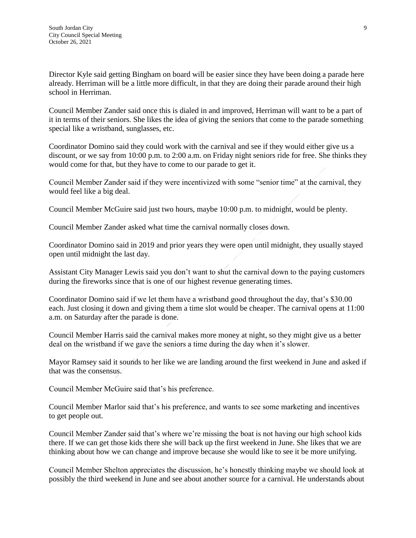Director Kyle said getting Bingham on board will be easier since they have been doing a parade here already. Herriman will be a little more difficult, in that they are doing their parade around their high school in Herriman.

Council Member Zander said once this is dialed in and improved, Herriman will want to be a part of it in terms of their seniors. She likes the idea of giving the seniors that come to the parade something special like a wristband, sunglasses, etc.

Coordinator Domino said they could work with the carnival and see if they would either give us a discount, or we say from 10:00 p.m. to 2:00 a.m. on Friday night seniors ride for free. She thinks they would come for that, but they have to come to our parade to get it.

Council Member Zander said if they were incentivized with some "senior time" at the carnival, they would feel like a big deal.

Council Member McGuire said just two hours, maybe 10:00 p.m. to midnight, would be plenty.

Council Member Zander asked what time the carnival normally closes down.

Coordinator Domino said in 2019 and prior years they were open until midnight, they usually stayed open until midnight the last day.

Assistant City Manager Lewis said you don't want to shut the carnival down to the paying customers during the fireworks since that is one of our highest revenue generating times.

Coordinator Domino said if we let them have a wristband good throughout the day, that's \$30.00 each. Just closing it down and giving them a time slot would be cheaper. The carnival opens at 11:00 a.m. on Saturday after the parade is done.

Council Member Harris said the carnival makes more money at night, so they might give us a better deal on the wristband if we gave the seniors a time during the day when it's slower.

Mayor Ramsey said it sounds to her like we are landing around the first weekend in June and asked if that was the consensus.

Council Member McGuire said that's his preference.

Council Member Marlor said that's his preference, and wants to see some marketing and incentives to get people out.

Council Member Zander said that's where we're missing the boat is not having our high school kids there. If we can get those kids there she will back up the first weekend in June. She likes that we are thinking about how we can change and improve because she would like to see it be more unifying.

Council Member Shelton appreciates the discussion, he's honestly thinking maybe we should look at possibly the third weekend in June and see about another source for a carnival. He understands about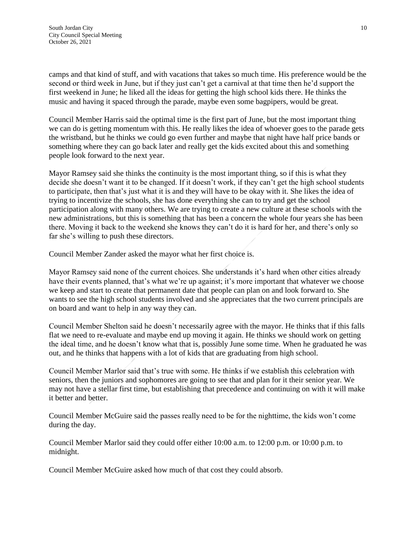camps and that kind of stuff, and with vacations that takes so much time. His preference would be the second or third week in June, but if they just can't get a carnival at that time then he'd support the first weekend in June; he liked all the ideas for getting the high school kids there. He thinks the music and having it spaced through the parade, maybe even some bagpipers, would be great.

Council Member Harris said the optimal time is the first part of June, but the most important thing we can do is getting momentum with this. He really likes the idea of whoever goes to the parade gets the wristband, but he thinks we could go even further and maybe that night have half price bands or something where they can go back later and really get the kids excited about this and something people look forward to the next year.

Mayor Ramsey said she thinks the continuity is the most important thing, so if this is what they decide she doesn't want it to be changed. If it doesn't work, if they can't get the high school students to participate, then that's just what it is and they will have to be okay with it. She likes the idea of trying to incentivize the schools, she has done everything she can to try and get the school participation along with many others. We are trying to create a new culture at these schools with the new administrations, but this is something that has been a concern the whole four years she has been there. Moving it back to the weekend she knows they can't do it is hard for her, and there's only so far she's willing to push these directors.

Council Member Zander asked the mayor what her first choice is.

Mayor Ramsey said none of the current choices. She understands it's hard when other cities already have their events planned, that's what we're up against; it's more important that whatever we choose we keep and start to create that permanent date that people can plan on and look forward to. She wants to see the high school students involved and she appreciates that the two current principals are on board and want to help in any way they can.

Council Member Shelton said he doesn't necessarily agree with the mayor. He thinks that if this falls flat we need to re-evaluate and maybe end up moving it again. He thinks we should work on getting the ideal time, and he doesn't know what that is, possibly June some time. When he graduated he was out, and he thinks that happens with a lot of kids that are graduating from high school.

Council Member Marlor said that's true with some. He thinks if we establish this celebration with seniors, then the juniors and sophomores are going to see that and plan for it their senior year. We may not have a stellar first time, but establishing that precedence and continuing on with it will make it better and better.

Council Member McGuire said the passes really need to be for the nighttime, the kids won't come during the day.

Council Member Marlor said they could offer either 10:00 a.m. to 12:00 p.m. or 10:00 p.m. to midnight.

Council Member McGuire asked how much of that cost they could absorb.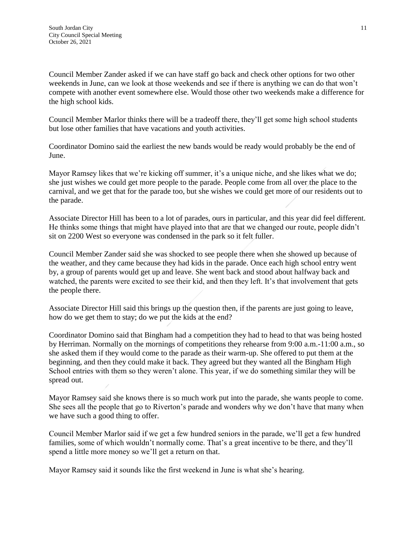Council Member Zander asked if we can have staff go back and check other options for two other weekends in June, can we look at those weekends and see if there is anything we can do that won't compete with another event somewhere else. Would those other two weekends make a difference for the high school kids.

Council Member Marlor thinks there will be a tradeoff there, they'll get some high school students but lose other families that have vacations and youth activities.

Coordinator Domino said the earliest the new bands would be ready would probably be the end of June.

Mayor Ramsey likes that we're kicking off summer, it's a unique niche, and she likes what we do; she just wishes we could get more people to the parade. People come from all over the place to the carnival, and we get that for the parade too, but she wishes we could get more of our residents out to the parade.

Associate Director Hill has been to a lot of parades, ours in particular, and this year did feel different. He thinks some things that might have played into that are that we changed our route, people didn't sit on 2200 West so everyone was condensed in the park so it felt fuller.

Council Member Zander said she was shocked to see people there when she showed up because of the weather, and they came because they had kids in the parade. Once each high school entry went by, a group of parents would get up and leave. She went back and stood about halfway back and watched, the parents were excited to see their kid, and then they left. It's that involvement that gets the people there.

Associate Director Hill said this brings up the question then, if the parents are just going to leave, how do we get them to stay; do we put the kids at the end?

Coordinator Domino said that Bingham had a competition they had to head to that was being hosted by Herriman. Normally on the mornings of competitions they rehearse from 9:00 a.m.-11:00 a.m., so she asked them if they would come to the parade as their warm-up. She offered to put them at the beginning, and then they could make it back. They agreed but they wanted all the Bingham High School entries with them so they weren't alone. This year, if we do something similar they will be spread out.

Mayor Ramsey said she knows there is so much work put into the parade, she wants people to come. She sees all the people that go to Riverton's parade and wonders why we don't have that many when we have such a good thing to offer.

Council Member Marlor said if we get a few hundred seniors in the parade, we'll get a few hundred families, some of which wouldn't normally come. That's a great incentive to be there, and they'll spend a little more money so we'll get a return on that.

Mayor Ramsey said it sounds like the first weekend in June is what she's hearing.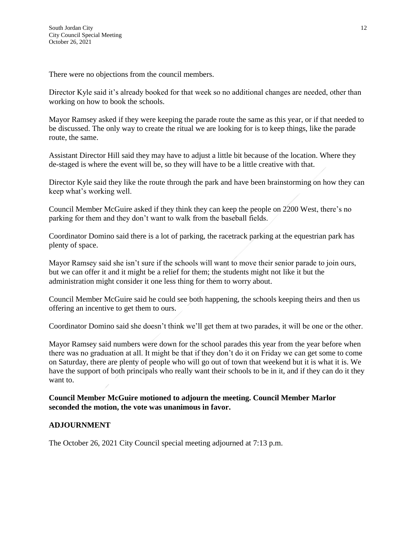There were no objections from the council members.

Director Kyle said it's already booked for that week so no additional changes are needed, other than working on how to book the schools.

Mayor Ramsey asked if they were keeping the parade route the same as this year, or if that needed to be discussed. The only way to create the ritual we are looking for is to keep things, like the parade route, the same.

Assistant Director Hill said they may have to adjust a little bit because of the location. Where they de-staged is where the event will be, so they will have to be a little creative with that.

Director Kyle said they like the route through the park and have been brainstorming on how they can keep what's working well.

Council Member McGuire asked if they think they can keep the people on 2200 West, there's no parking for them and they don't want to walk from the baseball fields.

Coordinator Domino said there is a lot of parking, the racetrack parking at the equestrian park has plenty of space.

Mayor Ramsey said she isn't sure if the schools will want to move their senior parade to join ours, but we can offer it and it might be a relief for them; the students might not like it but the administration might consider it one less thing for them to worry about.

Council Member McGuire said he could see both happening, the schools keeping theirs and then us offering an incentive to get them to ours.

Coordinator Domino said she doesn't think we'll get them at two parades, it will be one or the other.

Mayor Ramsey said numbers were down for the school parades this year from the year before when there was no graduation at all. It might be that if they don't do it on Friday we can get some to come on Saturday, there are plenty of people who will go out of town that weekend but it is what it is. We have the support of both principals who really want their schools to be in it, and if they can do it they want to.

**Council Member McGuire motioned to adjourn the meeting. Council Member Marlor seconded the motion, the vote was unanimous in favor.**

# **ADJOURNMENT**

The October 26, 2021 City Council special meeting adjourned at 7:13 p.m.